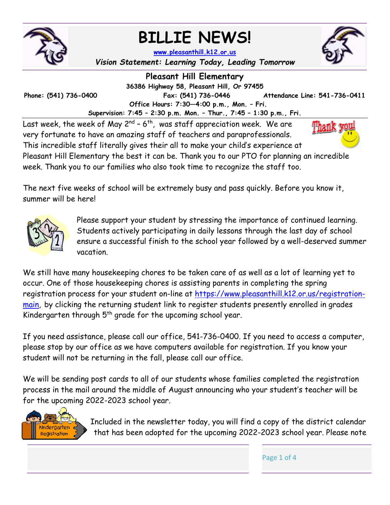

# **BILLIE NEWS!**

Thank you

**www.pleasanthill.k12.or.us** *Vision Statement: Learning Today, Leading Tomorrow* 

**Pleasant Hill Elementary 36386 Highway 58, Pleasant Hill, Or 97455 Phone: (541) 736-0400 Fax: (541) 736-0446 Attendance Line: 541-736-0411 Office Hours: 7:30—4:00 p.m., Mon. – Fri. Supervision: 7:45 – 2:30 p.m. Mon. – Thur., 7:45 – 1:30 p.m., Fri.** 

Last week, the week of May  $2^{nd}$  - 6<sup>th</sup>, was staff appreciation week. We are very fortunate to have an amazing staff of teachers and paraprofessionals. This incredible staff literally gives their all to make your child's experience at

Pleasant Hill Elementary the best it can be. Thank you to our PTO for planning an incredible week. Thank you to our families who also took time to recognize the staff too.

The next five weeks of school will be extremely busy and pass quickly. Before you know it, summer will be here!



Please support your student by stressing the importance of continued learning. Students actively participating in daily lessons through the last day of school ensure a successful finish to the school year followed by a well-deserved summer vacation.

We still have many housekeeping chores to be taken care of as well as a lot of learning yet to occur. One of those housekeeping chores is assisting parents in completing the spring registration process for your student on-line at https://www.pleasanthill.k12.or.us/registrationmain, by clicking the returning student link to register students presently enrolled in grades Kindergarten through  $5<sup>th</sup>$  grade for the upcoming school year.

If you need assistance, please call our office, 541-736-0400. If you need to access a computer, please stop by our office as we have computers available for registration. If you know your student will not be returning in the fall, please call our office.

We will be sending post cards to all of our students whose families completed the registration process in the mail around the middle of August announcing who your student's teacher will be for the upcoming 2022-2023 school year.



Included in the newsletter today, you will find a copy of the district calendar that has been adopted for the upcoming 2022-2023 school year. Please note

Page 1 of 4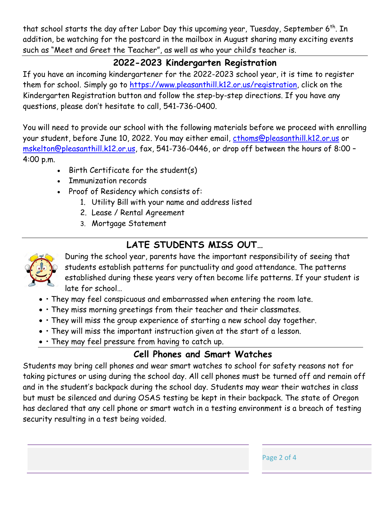that school starts the day after Labor Day this upcoming year, Tuesday, September 6<sup>th</sup>. In addition, be watching for the postcard in the mailbox in August sharing many exciting events such as "Meet and Greet the Teacher", as well as who your child's teacher is.

#### **2022-2023 Kindergarten Registration**

If you have an incoming kindergartener for the 2022-2023 school year, it is time to register them for school. Simply go to https://www.pleasanthill.k12.or.us/registration, click on the Kindergarten Registration button and follow the step-by-step directions. If you have any questions, please don't hesitate to call, 541-736-0400.

You will need to provide our school with the following materials before we proceed with enrolling your student, before June 10, 2022. You may either email, cthoms@pleasanthill.k12.or.us or mskelton@pleasanthill.k12.or.us, fax, 541-736-0446, or drop off between the hours of 8:00 – 4:00 p.m.

- Birth Certificate for the student(s)
- Immunization records
- Proof of Residency which consists of:
	- 1. Utility Bill with your name and address listed
	- 2. Lease / Rental Agreement
	- 3. Mortgage Statement

## **LATE STUDENTS MISS OUT…**



During the school year, parents have the important responsibility of seeing that students establish patterns for punctuality and good attendance. The patterns established during these years very often become life patterns. If your student is late for school…

- They may feel conspicuous and embarrassed when entering the room late.
- They miss morning greetings from their teacher and their classmates.
- They will miss the group experience of starting a new school day together.
- They will miss the important instruction given at the start of a lesson.
- They may feel pressure from having to catch up.

### **Cell Phones and Smart Watches**

Page 2 of 4

Students may bring cell phones and wear smart watches to school for safety reasons not for taking pictures or using during the school day. All cell phones must be turned off and remain off and in the student's backpack during the school day. Students may wear their watches in class but must be silenced and during OSAS testing be kept in their backpack. The state of Oregon has declared that any cell phone or smart watch in a testing environment is a breach of testing security resulting in a test being voided.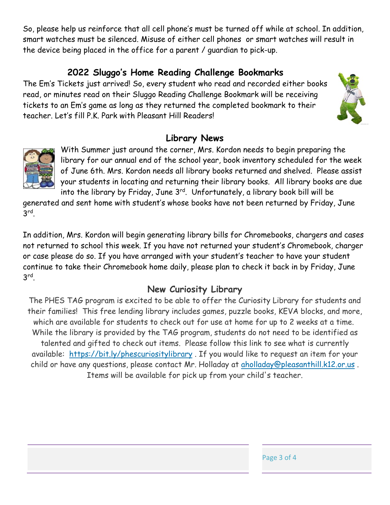So, please help us reinforce that all cell phone's must be turned off while at school. In addition, smart watches must be silenced. Misuse of either cell phones or smart watches will result in the device being placed in the office for a parent / guardian to pick-up.

#### **2022 Sluggo's Home Reading Challenge Bookmarks**

The Em's Tickets just arrived! So, every student who read and recorded either books read, or minutes read on their Sluggo Reading Challenge Bookmark will be receiving tickets to an Em's game as long as they returned the completed bookmark to their teacher. Let's fill P.K. Park with Pleasant Hill Readers!

### **Library News**



With Summer just around the corner, Mrs. Kordon needs to begin preparing the library for our annual end of the school year, book inventory scheduled for the week of June 6th. Mrs. Kordon needs all library books returned and shelved. Please assist your students in locating and returning their library books. All library books are due into the library by Friday, June  $3^{rd}$ . Unfortunately, a library book bill will be

generated and sent home with student's whose books have not been returned by Friday, June 3rd.

In addition, Mrs. Kordon will begin generating library bills for Chromebooks, chargers and cases not returned to school this week. If you have not returned your student's Chromebook, charger or case please do so. If you have arranged with your student's teacher to have your student continue to take their Chromebook home daily, please plan to check it back in by Friday, June 3rd.

### **New Curiosity Library**

The PHES TAG program is excited to be able to offer the Curiosity Library for students and their families! This free lending library includes games, puzzle books, KEVA blocks, and more, which are available for students to check out for use at home for up to 2 weeks at a time. While the library is provided by the TAG program, students do not need to be identified as talented and gifted to check out items. Please follow this link to see what is currently available: https://bit.ly/phescuriositylibrary . If you would like to request an item for your child or have any questions, please contact Mr. Holladay at aholladay@pleasanthill.k12.or.us . Items will be available for pick up from your child's teacher.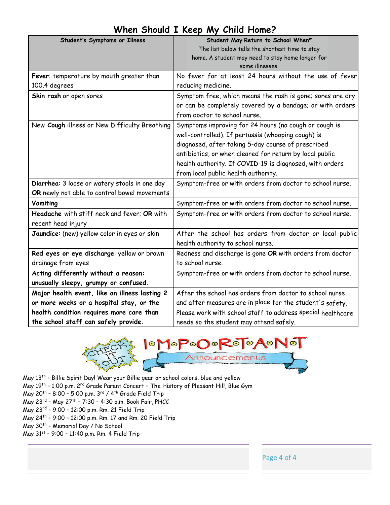| Student's Symptoms or Illness                 | Student May Return to School When*                          |  |  |  |  |  |
|-----------------------------------------------|-------------------------------------------------------------|--|--|--|--|--|
|                                               | The list below tells the shortest time to stay              |  |  |  |  |  |
|                                               | home. A student may need to stay home longer for            |  |  |  |  |  |
|                                               | some illnesses.                                             |  |  |  |  |  |
| Fever: temperature by mouth greater than      | No fever for at least 24 hours without the use of fever     |  |  |  |  |  |
| 100.4 degrees                                 | reducing medicine.                                          |  |  |  |  |  |
| Skin rash or open sores                       | Symptom free, which means the rash is gone; sores are dry   |  |  |  |  |  |
|                                               | or can be completely covered by a bandage; or with orders   |  |  |  |  |  |
|                                               | from doctor to school nurse.                                |  |  |  |  |  |
| New Cough illness or New Difficulty Breathing | Symptoms improving for 24 hours (no cough or cough is       |  |  |  |  |  |
|                                               | well-controlled). If pertussis (whooping cough) is          |  |  |  |  |  |
|                                               | diagnosed, after taking 5-day course of prescribed          |  |  |  |  |  |
|                                               | antibiotics, or when cleared for return by local public     |  |  |  |  |  |
|                                               | health authority. If COVID-19 is diagnosed, with orders     |  |  |  |  |  |
|                                               | from local public health authority.                         |  |  |  |  |  |
| Diarrhea: 3 loose or watery stools in one day | Symptom-free or with orders from doctor to school nurse.    |  |  |  |  |  |
| OR newly not able to control bowel movements  |                                                             |  |  |  |  |  |
| Vomiting                                      | Symptom-free or with orders from doctor to school nurse.    |  |  |  |  |  |
| Headache with stiff neck and fever; OR with   | Symptom-free or with orders from doctor to school nurse.    |  |  |  |  |  |
| recent head injury                            |                                                             |  |  |  |  |  |
| Jaundice: (new) yellow color in eyes or skin  | After the school has orders from doctor or local public     |  |  |  |  |  |
|                                               | health authority to school nurse.                           |  |  |  |  |  |
| Red eyes or eye discharge: yellow or brown    | Redness and discharge is gone OR with orders from doctor    |  |  |  |  |  |
| drainage from eyes                            | to school nurse.                                            |  |  |  |  |  |
| Acting differently without a reason:          | Symptom-free or with orders from doctor to school nurse.    |  |  |  |  |  |
| unusually sleepy, grumpy or confused.         |                                                             |  |  |  |  |  |
| Major health event, like an illness lasting 2 | After the school has orders from doctor to school nurse     |  |  |  |  |  |
| or more weeks or a hospital stay, or the      | and after measures are in place for the student's safety.   |  |  |  |  |  |
| health condition requires more care than      | Please work with school staff to address special healthcare |  |  |  |  |  |
| the school staff can safely provide.          | needs so the student may attend safely.                     |  |  |  |  |  |

### **When Should I Keep My Child Home?**



May 13th – Billie Spirit Day! Wear your Billie gear or school colors, blue and yellow May 19<sup>th</sup> - 1:00 p.m. 2<sup>nd</sup> Grade Parent Concert - The History of Pleasant Hill, Blue Gym May 20<sup>th</sup> - 8:00 - 5:00 p.m.  $3^{rd}$  / 4<sup>th</sup> Grade Field Trip May 23rd – May 27th – 7:30 – 4:30 p.m. Book Fair, PHCC May 23rd – 9:00 – 12:00 p.m. Rm. 21 Field Trip May 24th – 9:00 – 12:00 p.m. Rm. 17 and Rm. 20 Field Trip May 30<sup>th</sup> - Memorial Day / No School

May 31st – 9:00 – 11:40 p.m. Rm. 4 Field Trip

Page 4 of 4